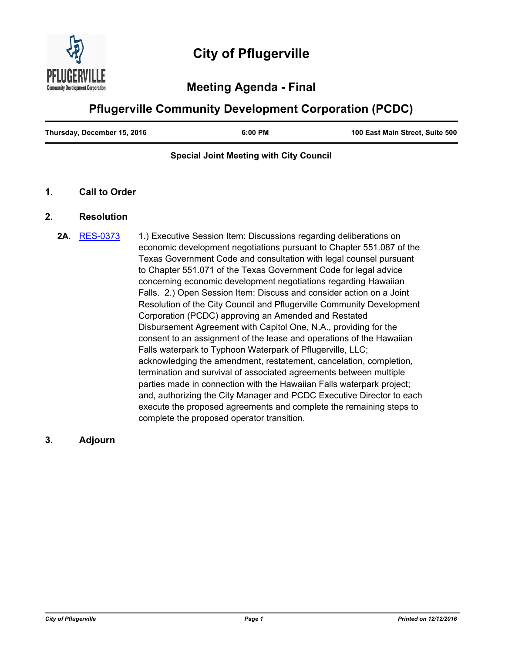

# **Meeting Agenda - Final**

# **Pflugerville Community Development Corporation (PCDC)**

| Thursday, December 15, 2016 | $6:00$ PM | 100 East Main Street, Suite 500 |
|-----------------------------|-----------|---------------------------------|
|                             |           |                                 |

### **Special Joint Meeting with City Council**

#### **1. Call to Order**

### **2. Resolution**

**2A.** [RES-0373](http://pflugerville.legistar.com/gateway.aspx?m=l&id=/matter.aspx?key=6604) 1.) Executive Session Item: Discussions regarding deliberations on economic development negotiations pursuant to Chapter 551.087 of the Texas Government Code and consultation with legal counsel pursuant to Chapter 551.071 of the Texas Government Code for legal advice concerning economic development negotiations regarding Hawaiian Falls. 2.) Open Session Item: Discuss and consider action on a Joint Resolution of the City Council and Pflugerville Community Development Corporation (PCDC) approving an Amended and Restated Disbursement Agreement with Capitol One, N.A., providing for the consent to an assignment of the lease and operations of the Hawaiian Falls waterpark to Typhoon Waterpark of Pflugerville, LLC; acknowledging the amendment, restatement, cancelation, completion, termination and survival of associated agreements between multiple parties made in connection with the Hawaiian Falls waterpark project; and, authorizing the City Manager and PCDC Executive Director to each execute the proposed agreements and complete the remaining steps to complete the proposed operator transition.

## **3. Adjourn**